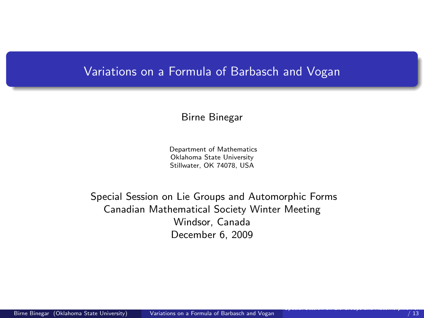## Variations on a Formula of Barbasch and Vogan

#### Birne Binegar

<span id="page-0-0"></span>Department of Mathematics Oklahoma State University Stillwater, OK 74078, USA

Special Session on Lie Groups and Automorphic Forms Canadian Mathematical Society Winter Meeting Windsor, Canada December 6, 2009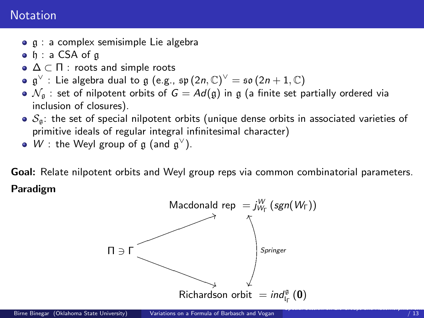# **Notation**

- **q** : a complex semisimple Lie algebra
- o h: a CSA of a
- $\bullet \Delta \subset \Pi$  : roots and simple roots
- $\mathfrak{g}^\vee$  : Lie algebra dual to  $\mathfrak{g}$  (e.g.,  $\mathfrak{sp}\left(2n,\mathbb{C}\right)^\vee=\mathfrak{so}\left(2n+1,\mathbb{C}\right)$
- $\bullet$   $\mathcal{N}_q$  : set of nilpotent orbits of  $G = Ad(g)$  in g (a finite set partially ordered via inclusion of closures).
- $\bullet$   $S_{\mathfrak{g}}$ : the set of special nilpotent orbits (unique dense orbits in associated varieties of primitive ideals of regular integral infinitesimal character)
- W : the Weyl group of  $\mathfrak g$  (and  $\mathfrak g^{\vee}$ ).

Goal: Relate nilpotent orbits and Weyl group reps via common combinatorial parameters. Paradigm

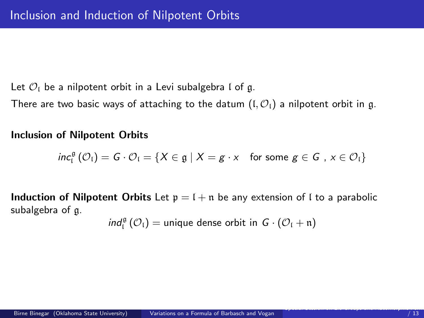Let  $\mathcal{O}_I$  be a nilpotent orbit in a Levi subalgebra l of g.

There are two basic ways of attaching to the datum  $(I, \mathcal{O}_I)$  a nilpotent orbit in g.

Inclusion of Nilpotent Orbits

$$
\textit{inc}_{\mathfrak{l}}^{\mathfrak{g}}\left(\mathcal{O}_{\mathfrak{l}}\right)=G\cdot\mathcal{O}_{\mathfrak{l}}=\left\{ X\in\mathfrak{g}\mid X=g\cdot x\quad\text{for some }g\in G\text{ , }x\in\mathcal{O}_{\mathfrak{l}}\right\}
$$

**Induction of Nilpotent Orbits** Let  $p = 1 + n$  be any extension of I to a parabolic subalgebra of g.

$$
\text{ind}_{\mathfrak{l}}^{\mathfrak{g}} \left( \mathcal{O}_{\mathfrak{l}} \right) = \text{unique dense orbit in } G \cdot \left( \mathcal{O}_{\mathfrak{l}} + \mathfrak{n} \right)
$$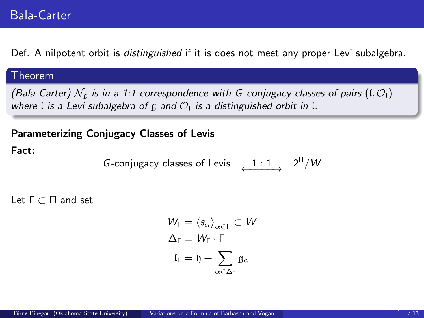Def. A nilpotent orbit is *distinguished* if it is does not meet any proper Levi subalgebra.

#### Theorem

(Bala-Carter)  $\mathcal{N}_q$  is in a 1:1 correspondence with G-conjugacy classes of pairs (I,  $\mathcal{O}_1$ ) where I is a Levi subalgebra of g and  $\mathcal{O}_1$  is a distinguished orbit in I.

### Parameterizing Conjugacy Classes of Levis

#### Fact:

G-conjugacy classes of Lewis 
$$
\xrightarrow{1:1} 2^n/W
$$

Let Γ ⊂ Π and set

$$
W_{\Gamma} = \langle s_{\alpha} \rangle_{\alpha \in \Gamma} \subset W
$$

$$
\Delta_{\Gamma} = W_{\Gamma} \cdot \Gamma
$$

$$
I_{\Gamma} = I_1 + \sum_{\alpha \in \Delta_{\Gamma}} \mathfrak{g}_{\alpha}
$$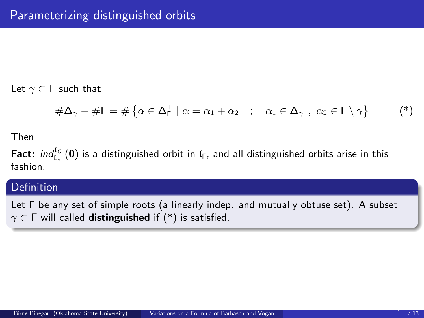Let  $γ$   $\subset$   $\Gamma$  such that

$$
\#\Delta_{\gamma} + \#\Gamma = \#\left\{\alpha \in \Delta_{\Gamma}^+ \mid \alpha = \alpha_1 + \alpha_2 \quad ; \quad \alpha_1 \in \Delta_{\gamma} \; , \; \alpha_2 \in \Gamma \setminus \gamma \right\} \tag{*}
$$

Then

**Fact:**  $ind_{I_{\gamma}}^{I_{G}}(0)$  is a distinguished orbit in l<sub>F</sub>, and all distinguished orbits arise in this fashion.

## Definition

Let Γ be any set of simple roots (a linearly indep. and mutually obtuse set). A subset  $\gamma \subset \Gamma$  will called **distinguished** if (\*) is satisfied.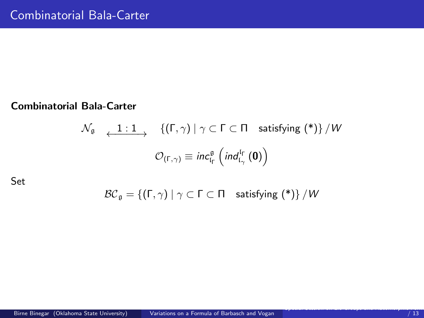#### Combinatorial Bala-Carter

$$
\begin{array}{cc}\mathcal{N}_{\mathfrak{g}} & \xleftarrow{\mathbf{1}: \mathbf{1}} \{(\Gamma, \gamma) \mid \gamma \subset \Gamma \subset \Pi \quad \text{satisfying (*)}\} / W \\
 & \mathcal{O}_{(\Gamma, \gamma)} \equiv inc_{\mathfrak{l}_{\Gamma}}^{\mathfrak{g}} \left( ind_{\mathfrak{l}_{\gamma}}^{\mathfrak{l}_{\Gamma}}(\mathbf{0}) \right)\n\end{array}
$$

Set

$$
\mathcal{BC}_{\mathfrak{g}} = \{ (\Gamma, \gamma) \mid \gamma \subset \Gamma \subset \Pi \quad \text{satisfying } (*) \} / W
$$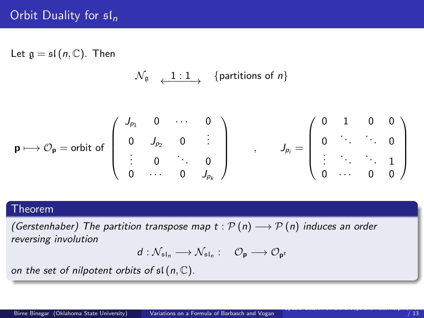Let  $\mathfrak{g} = \mathfrak{sl}(n, \mathbb{C})$ . Then

 $\mathcal{N}_{\mathfrak{g}}$   $\longrightarrow$  {partitions of n}

$$
\mathbf{p} \longmapsto \mathcal{O}_{\mathbf{p}} = \text{orbit of } \left( \begin{array}{cccc} J_{p_1} & 0 & \cdots & 0 \\ 0 & J_{p_2} & 0 & \vdots \\ \vdots & 0 & \ddots & 0 \\ 0 & \cdots & 0 & J_{p_k} \end{array} \right) \qquad , \qquad J_{p_i} = \left( \begin{array}{cccc} 0 & 1 & 0 & 0 \\ 0 & \ddots & \ddots & 0 \\ \vdots & \ddots & \ddots & 1 \\ 0 & \cdots & 0 & 0 \end{array} \right)
$$

### Theorem

(Gerstenhaber) The partition transpose map  $t : \mathcal{P}(n) \longrightarrow \mathcal{P}(n)$  induces an order reversing involution

$$
d: \mathcal{N}_{\mathfrak{sl}_n} \longrightarrow \mathcal{N}_{\mathfrak{sl}_n} : \quad \mathcal{O}_{\mathbf{p}} \longrightarrow \mathcal{O}_{\mathbf{p}^t}
$$

on the set of nilpotent orbits of  $\mathfrak{sl}(n,\mathbb{C})$ .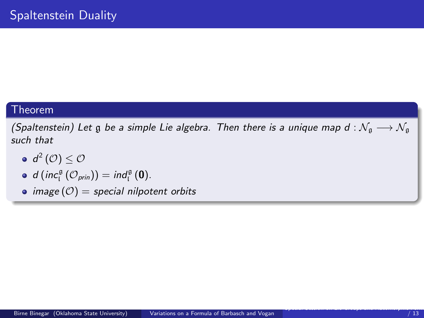#### Theorem

(Spaltenstein) Let g be a simple Lie algebra. Then there is a unique map d :  $\mathcal{N}_\mathfrak{g} \longrightarrow \mathcal{N}_\mathfrak{g}$ such that

- $d^2\left(\mathcal{O}\right)\leq \mathcal{O}$
- $d \left( inc_{i}^{\mathfrak{g}} \left( \mathcal{O}_{\text{prin}} \right) \right) = ind_{i}^{\mathfrak{g}} \left( \mathbf{0} \right).$
- image  $(0)$  = special nilpotent orbits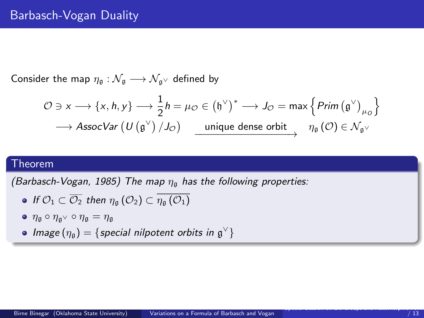Consider the map  $\eta_{\mathfrak{g}} : \mathcal{N}_{\mathfrak{g}} \longrightarrow \mathcal{N}_{\mathfrak{g}} \vee$  defined by

$$
\mathcal{O} \ni x \longrightarrow \{x, h, y\} \longrightarrow \frac{1}{2}h = \mu_{\mathcal{O}} \in (\mathfrak{h}^{\vee})^* \longrightarrow J_{\mathcal{O}} = \max \left\{ \text{Prim} \left( \mathfrak{g}^{\vee} \right)_{\mu_{\mathcal{O}}} \right\}
$$

$$
\longrightarrow \text{AssocVar} \left( U \left( \mathfrak{g}^{\vee} \right) / J_{\mathcal{O}} \right) \longrightarrow \text{unique dense orbit} \quad \eta_{\mathfrak{g}} \left( \mathcal{O} \right) \in \mathcal{N}_{\mathfrak{g}^{\vee}}
$$

## Theorem

(Barbasch-Vogan, 1985) The map  $\eta_{\rm g}$  has the following properties:

• If 
$$
\mathcal{O}_1 \subset \overline{\mathcal{O}_2}
$$
 then  $\eta_{\mathfrak{g}}(\mathcal{O}_2) \subset \overline{\eta_{\mathfrak{g}}(\mathcal{O}_1)}$ 

- $\bullet$   $\eta_{\mathfrak{g}} \circ \eta_{\mathfrak{g}} \circ \eta_{\mathfrak{g}} = \eta_{\mathfrak{g}}$
- Image  $(\eta_{\mathfrak{g}}) = \{$  special nilpotent orbits in  $\mathfrak{g}^{\vee}\}$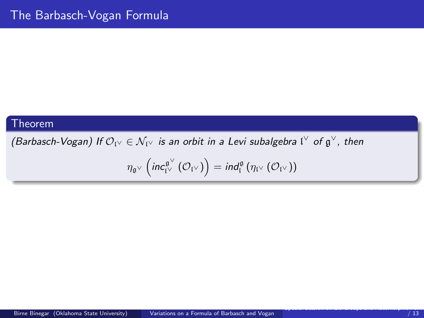#### Theorem

(Barbasch-Vogan) If  $\mathcal{O}_{V'}\in\mathcal{N}_{V'}$  is an orbit in a Levi subalgebra  $\mathfrak{l}^\vee$  of  $\mathfrak{g}^\vee$ , then

$$
\eta_{\mathfrak{g}^\vee}\left(\mathsf{inc}^{\mathfrak{g}^\vee}_{\mathfrak{l}^\vee}\left(\mathcal{O}_{\mathfrak{l}^\vee}\right)\right)=\mathsf{ind}^{\mathfrak{g}}_{\mathfrak{l}}\left(\eta_{\mathfrak{l}^\vee}\left(\mathcal{O}_{\mathfrak{l}^\vee}\right)\right)
$$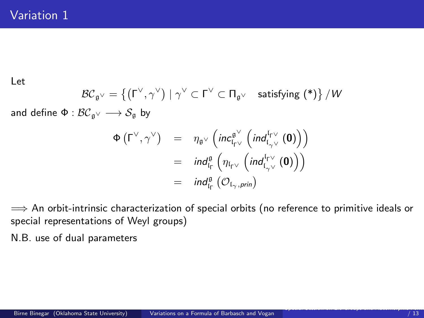Let

$$
\mathcal{BC}_{\mathfrak{g}^\vee} = \{ (\Gamma^\vee, \gamma^\vee) \mid \gamma^\vee \subset \Gamma^\vee \subset \Pi_{\mathfrak{g}^\vee} \quad \text{satisfying } (*) \} / W
$$
  
: 
$$
\mathcal{BC}_{\mathfrak{g}^\vee} \longrightarrow \mathcal{S}_{\mathfrak{g}} \text{ by}
$$

and define  $\Phi : \mathcal{BC}_{\mathfrak{g}} \vee \longrightarrow \mathcal{S}_{\mathfrak{g}}$  by

$$
\Phi(\Gamma^{\vee}, \gamma^{\vee}) = \eta_{\mathfrak{g}^{\vee}} \left( inc_{\mathfrak{l}_{\Gamma}^{\vee}}^{\mathfrak{g}^{\vee}} \left( ind_{\mathfrak{l}_{\gamma}^{\vee}}^{\mathfrak{l}_{\Gamma}^{\vee}}(0) \right) \right)
$$
  
\n
$$
= ind_{\mathfrak{l}_{\Gamma}}^{\mathfrak{g}} \left( \eta_{\mathfrak{l}_{\Gamma^{\vee}}} \left( ind_{\mathfrak{l}_{\gamma^{\vee}}}^{\mathfrak{l}_{\Gamma^{\vee}}} (0) \right) \right)
$$
  
\n
$$
= ind_{\mathfrak{l}_{\Gamma}}^{\mathfrak{g}} \left( \mathcal{O}_{\mathfrak{l}_{\gamma}, prin} \right)
$$

 $\implies$  An orbit-intrinsic characterization of special orbits (no reference to primitive ideals or special representations of Weyl groups)

N.B. use of dual parameters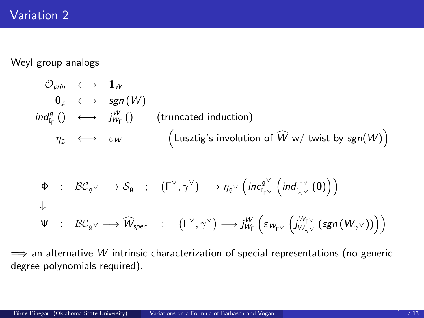# Variation 2

Weyl group analogs

$$
\begin{array}{ccc}\n\mathcal{O}_{prin} & \longleftrightarrow & \mathbf{1}_W \\
\mathbf{0}_{\mathfrak{g}} & \longleftrightarrow & \mathfrak{sgn}(W) \\
\mathfrak{ind}_{\mathfrak{l}_{\Gamma}}^{\mathfrak{g}}\left(\right) & \longleftrightarrow & \mathfrak{j}_{W_{\Gamma}}^W\left(\right) \\
\eta_{\mathfrak{g}} & \longleftrightarrow & \varepsilon_W \\
\end{array}\n\quad \text{(truncated induction)} \\
\eta_{\mathfrak{g}} \longleftrightarrow & \varepsilon_W\n\qquad\n\begin{array}{ccc}\n\text{(Lusztig's involution of } \widehat{W} \text{ w/twist by } \mathfrak{sgn}(W)\n\end{array}
$$

$$
\begin{array}{cccc}\n\Phi & : & \mathcal{BC}_{\mathfrak{g}^\vee} \longrightarrow \mathcal{S}_{\mathfrak{g}} & ; & \left(\Gamma^\vee, \gamma^\vee\right) \longrightarrow \eta_{\mathfrak{g}^\vee} \left( \text{inc}_{\mathfrak{l}_{\Gamma^\vee}}^{\mathfrak{g}^\vee} \left( \text{ind}_{\mathfrak{l}_{\gamma^\vee}}^{\mathfrak{l}_{\Gamma^\vee}} \left( \mathbf{0} \right) \right) \right) \\
\downarrow & & \\
\Psi & : & \mathcal{BC}_{\mathfrak{g}^\vee} \longrightarrow \widehat{W}_{\text{spec}} & : & \left(\Gamma^\vee, \gamma^\vee\right) \longrightarrow \dot{J}_{W_\Gamma}^W \left( \varepsilon_{W_{\Gamma^\vee}} \left( \dot{J}_{W_{\gamma^\vee}}^{W_{\Gamma^\vee}} \left( \text{sgn} \left( W_{\gamma^\vee} \right) \right) \right) \right)\n\end{array}
$$

 $\implies$  an alternative *W*-intrinsic characterization of special representations (no generic degree polynomials required).